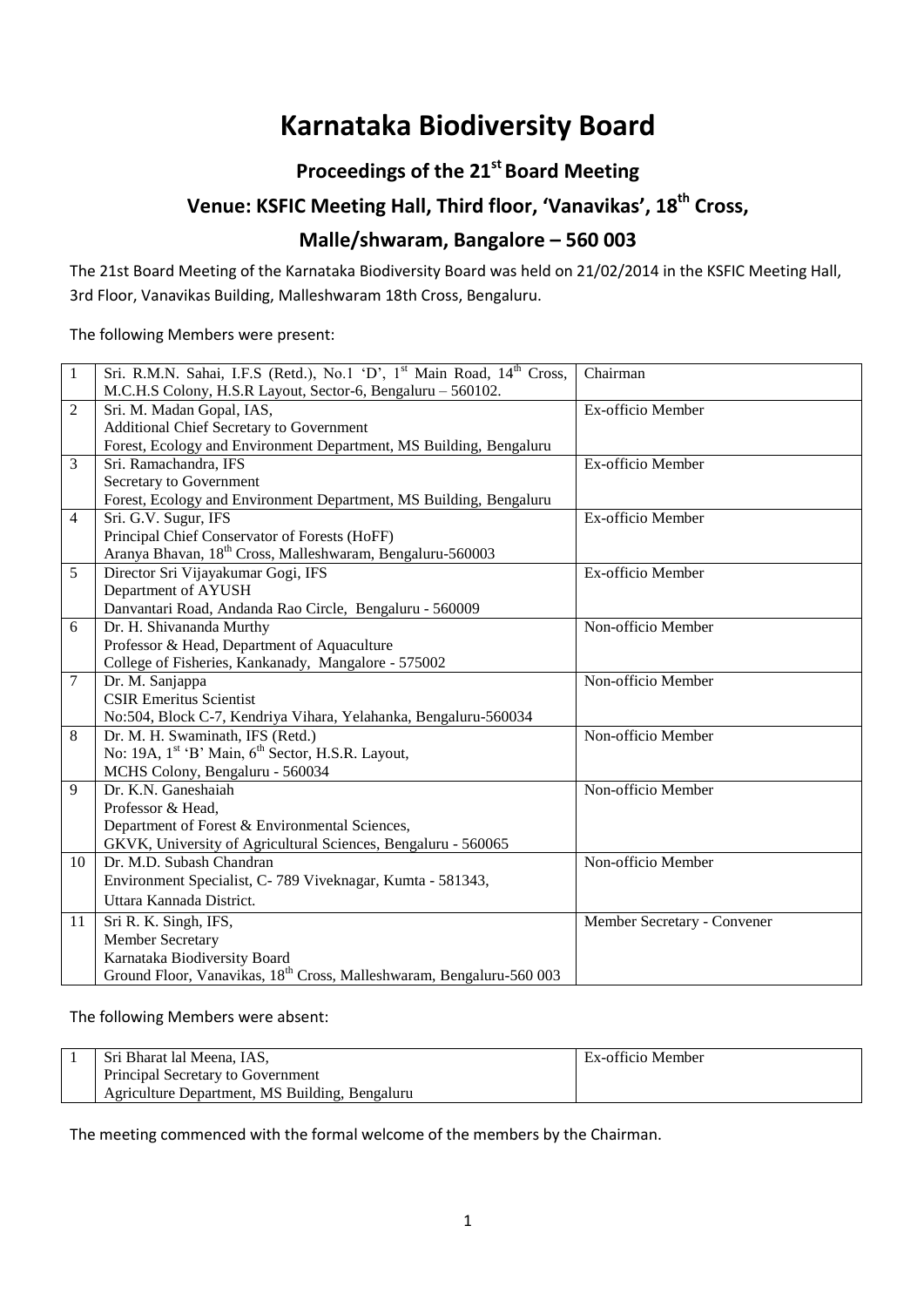# **Karnataka Biodiversity Board**

# **Proceedings of the 21st Board Meeting**

# **Venue: KSFIC Meeting Hall, Third floor, 'Vanavikas', 18th Cross,**

# **Malle/shwaram, Bangalore – 560 003**

The 21st Board Meeting of the Karnataka Biodiversity Board was held on 21/02/2014 in the KSFIC Meeting Hall, 3rd Floor, Vanavikas Building, Malleshwaram 18th Cross, Bengaluru.

The following Members were present:

| $\mathbf{1}$   | Sri. R.M.N. Sahai, I.F.S (Retd.), No.1 'D', 1 <sup>st</sup> Main Road, 14 <sup>th</sup> Cross, | Chairman                    |
|----------------|------------------------------------------------------------------------------------------------|-----------------------------|
|                | M.C.H.S Colony, H.S.R Layout, Sector-6, Bengaluru - 560102.                                    |                             |
| 2              | Sri. M. Madan Gopal, IAS,                                                                      | Ex-officio Member           |
|                | Additional Chief Secretary to Government                                                       |                             |
|                | Forest, Ecology and Environment Department, MS Building, Bengaluru                             |                             |
| 3              | Sri. Ramachandra, IFS                                                                          | Ex-officio Member           |
|                | Secretary to Government                                                                        |                             |
|                | Forest, Ecology and Environment Department, MS Building, Bengaluru                             |                             |
| $\overline{4}$ | Sri. G.V. Sugur, IFS                                                                           | Ex-officio Member           |
|                | Principal Chief Conservator of Forests (HoFF)                                                  |                             |
|                | Aranya Bhavan, 18th Cross, Malleshwaram, Bengaluru-560003                                      |                             |
| 5              | Director Sri Vijayakumar Gogi, IFS                                                             | Ex-officio Member           |
|                | Department of AYUSH                                                                            |                             |
|                | Danvantari Road, Andanda Rao Circle, Bengaluru - 560009                                        |                             |
| 6              | Dr. H. Shivananda Murthy                                                                       | Non-officio Member          |
|                | Professor & Head, Department of Aquaculture                                                    |                             |
|                | College of Fisheries, Kankanady, Mangalore - 575002                                            |                             |
| 7              | Dr. M. Sanjappa                                                                                | Non-officio Member          |
|                | <b>CSIR Emeritus Scientist</b>                                                                 |                             |
|                | No:504, Block C-7, Kendriya Vihara, Yelahanka, Bengaluru-560034                                |                             |
| 8              | Dr. M. H. Swaminath, IFS (Retd.)                                                               | Non-officio Member          |
|                | No: 19A, 1 <sup>st</sup> 'B' Main, 6 <sup>th</sup> Sector, H.S.R. Layout,                      |                             |
|                | MCHS Colony, Bengaluru - 560034                                                                |                             |
| 9              | Dr. K.N. Ganeshaiah                                                                            | Non-officio Member          |
|                | Professor & Head,                                                                              |                             |
|                | Department of Forest & Environmental Sciences,                                                 |                             |
|                | GKVK, University of Agricultural Sciences, Bengaluru - 560065                                  |                             |
| 10             | Dr. M.D. Subash Chandran                                                                       | Non-officio Member          |
|                | Environment Specialist, C-789 Viveknagar, Kumta - 581343,                                      |                             |
|                | Uttara Kannada District.                                                                       |                             |
| 11             | Sri R. K. Singh, IFS,                                                                          | Member Secretary - Convener |
|                | Member Secretary                                                                               |                             |
|                | Karnataka Biodiversity Board                                                                   |                             |
|                | Ground Floor, Vanavikas, 18 <sup>th</sup> Cross, Malleshwaram, Bengaluru-560 003               |                             |

The following Members were absent:

| Sri Bharat lal Meena, IAS,                     | Ex-officio Member |
|------------------------------------------------|-------------------|
| Principal Secretary to Government              |                   |
| Agriculture Department, MS Building, Bengaluru |                   |

The meeting commenced with the formal welcome of the members by the Chairman.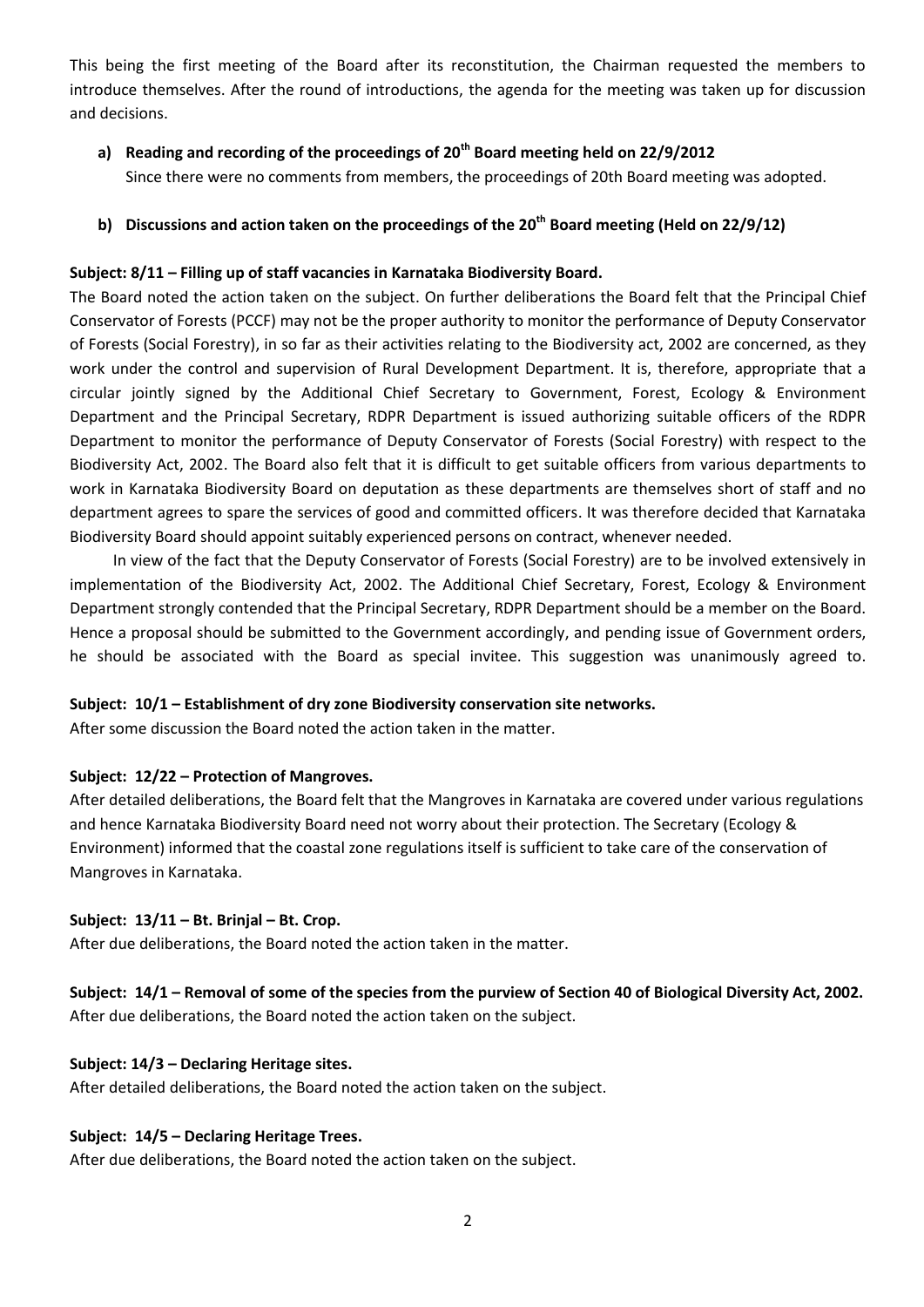This being the first meeting of the Board after its reconstitution, the Chairman requested the members to introduce themselves. After the round of introductions, the agenda for the meeting was taken up for discussion and decisions.

**a) Reading and recording of the proceedings of 20th Board meeting held on 22/9/2012** Since there were no comments from members, the proceedings of 20th Board meeting was adopted.

# **b) Discussions and action taken on the proceedings of the 20th Board meeting (Held on 22/9/12)**

#### **Subject: 8/11 – Filling up of staff vacancies in Karnataka Biodiversity Board.**

The Board noted the action taken on the subject. On further deliberations the Board felt that the Principal Chief Conservator of Forests (PCCF) may not be the proper authority to monitor the performance of Deputy Conservator of Forests (Social Forestry), in so far as their activities relating to the Biodiversity act, 2002 are concerned, as they work under the control and supervision of Rural Development Department. It is, therefore, appropriate that a circular jointly signed by the Additional Chief Secretary to Government, Forest, Ecology & Environment Department and the Principal Secretary, RDPR Department is issued authorizing suitable officers of the RDPR Department to monitor the performance of Deputy Conservator of Forests (Social Forestry) with respect to the Biodiversity Act, 2002. The Board also felt that it is difficult to get suitable officers from various departments to work in Karnataka Biodiversity Board on deputation as these departments are themselves short of staff and no department agrees to spare the services of good and committed officers. It was therefore decided that Karnataka Biodiversity Board should appoint suitably experienced persons on contract, whenever needed.

In view of the fact that the Deputy Conservator of Forests (Social Forestry) are to be involved extensively in implementation of the Biodiversity Act, 2002. The Additional Chief Secretary, Forest, Ecology & Environment Department strongly contended that the Principal Secretary, RDPR Department should be a member on the Board. Hence a proposal should be submitted to the Government accordingly, and pending issue of Government orders, he should be associated with the Board as special invitee. This suggestion was unanimously agreed to.

#### **Subject: 10/1 – Establishment of dry zone Biodiversity conservation site networks.**

After some discussion the Board noted the action taken in the matter.

#### **Subject: 12/22 – Protection of Mangroves.**

After detailed deliberations, the Board felt that the Mangroves in Karnataka are covered under various regulations and hence Karnataka Biodiversity Board need not worry about their protection. The Secretary (Ecology & Environment) informed that the coastal zone regulations itself is sufficient to take care of the conservation of Mangroves in Karnataka.

#### **Subject: 13/11 – Bt. Brinjal – Bt. Crop.**

After due deliberations, the Board noted the action taken in the matter.

#### **Subject: 14/1 – Removal of some of the species from the purview of Section 40 of Biological Diversity Act, 2002.**

After due deliberations, the Board noted the action taken on the subject.

#### **Subject: 14/3 – Declaring Heritage sites.**

After detailed deliberations, the Board noted the action taken on the subject.

#### **Subject: 14/5 – Declaring Heritage Trees.**

After due deliberations, the Board noted the action taken on the subject.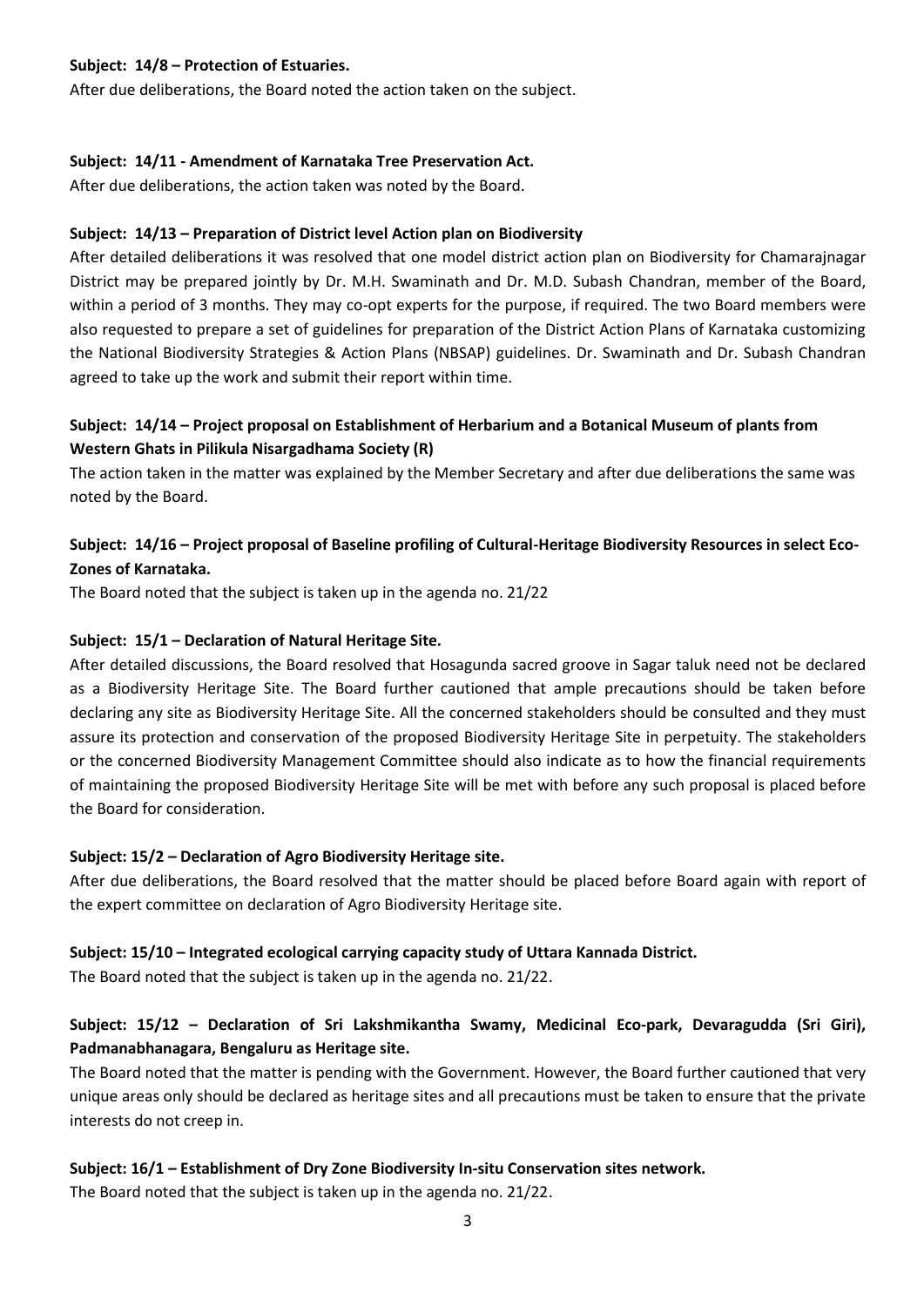#### **Subject: 14/8 – Protection of Estuaries.**

After due deliberations, the Board noted the action taken on the subject.

#### **Subject: 14/11 - Amendment of Karnataka Tree Preservation Act.**

After due deliberations, the action taken was noted by the Board.

#### **Subject: 14/13 – Preparation of District level Action plan on Biodiversity**

After detailed deliberations it was resolved that one model district action plan on Biodiversity for Chamarajnagar District may be prepared jointly by Dr. M.H. Swaminath and Dr. M.D. Subash Chandran, member of the Board, within a period of 3 months. They may co-opt experts for the purpose, if required. The two Board members were also requested to prepare a set of guidelines for preparation of the District Action Plans of Karnataka customizing the National Biodiversity Strategies & Action Plans (NBSAP) guidelines. Dr. Swaminath and Dr. Subash Chandran agreed to take up the work and submit their report within time.

# **Subject: 14/14 – Project proposal on Establishment of Herbarium and a Botanical Museum of plants from Western Ghats in Pilikula Nisargadhama Society (R)**

The action taken in the matter was explained by the Member Secretary and after due deliberations the same was noted by the Board.

# **Subject: 14/16 – Project proposal of Baseline profiling of Cultural-Heritage Biodiversity Resources in select Eco-Zones of Karnataka.**

The Board noted that the subject is taken up in the agenda no. 21/22

#### **Subject: 15/1 – Declaration of Natural Heritage Site.**

After detailed discussions, the Board resolved that Hosagunda sacred groove in Sagar taluk need not be declared as a Biodiversity Heritage Site. The Board further cautioned that ample precautions should be taken before declaring any site as Biodiversity Heritage Site. All the concerned stakeholders should be consulted and they must assure its protection and conservation of the proposed Biodiversity Heritage Site in perpetuity. The stakeholders or the concerned Biodiversity Management Committee should also indicate as to how the financial requirements of maintaining the proposed Biodiversity Heritage Site will be met with before any such proposal is placed before the Board for consideration.

#### **Subject: 15/2 – Declaration of Agro Biodiversity Heritage site.**

After due deliberations, the Board resolved that the matter should be placed before Board again with report of the expert committee on declaration of Agro Biodiversity Heritage site.

#### **Subject: 15/10 – Integrated ecological carrying capacity study of Uttara Kannada District.**

The Board noted that the subject is taken up in the agenda no. 21/22.

# **Subject: 15/12 – Declaration of Sri Lakshmikantha Swamy, Medicinal Eco-park, Devaragudda (Sri Giri), Padmanabhanagara, Bengaluru as Heritage site.**

The Board noted that the matter is pending with the Government. However, the Board further cautioned that very unique areas only should be declared as heritage sites and all precautions must be taken to ensure that the private interests do not creep in.

#### **Subject: 16/1 – Establishment of Dry Zone Biodiversity In-situ Conservation sites network.**

The Board noted that the subject is taken up in the agenda no. 21/22.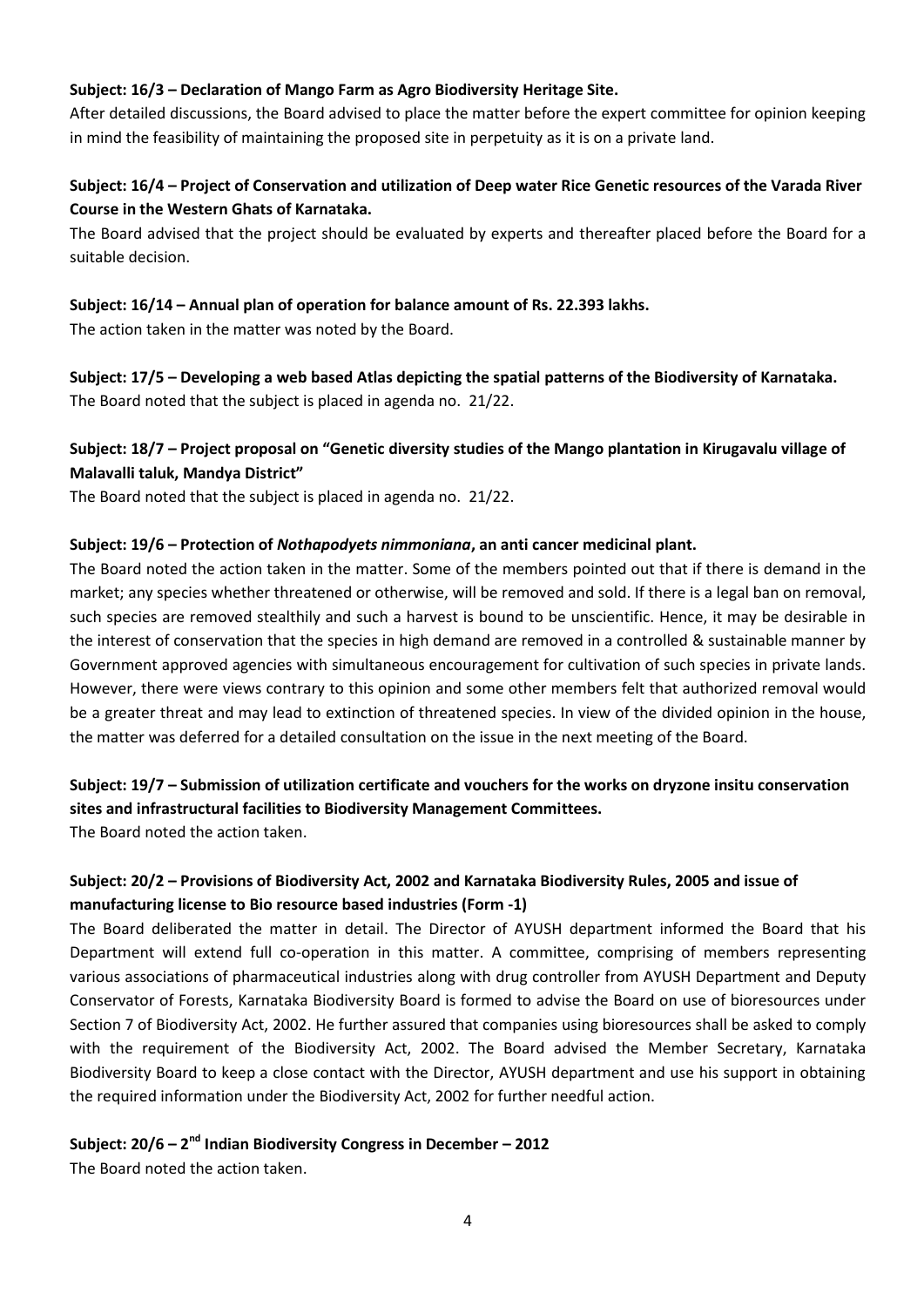#### **Subject: 16/3 – Declaration of Mango Farm as Agro Biodiversity Heritage Site.**

After detailed discussions, the Board advised to place the matter before the expert committee for opinion keeping in mind the feasibility of maintaining the proposed site in perpetuity as it is on a private land.

# **Subject: 16/4 – Project of Conservation and utilization of Deep water Rice Genetic resources of the Varada River Course in the Western Ghats of Karnataka.**

The Board advised that the project should be evaluated by experts and thereafter placed before the Board for a suitable decision.

#### **Subject: 16/14 – Annual plan of operation for balance amount of Rs. 22.393 lakhs.**

The action taken in the matter was noted by the Board.

**Subject: 17/5 – Developing a web based Atlas depicting the spatial patterns of the Biodiversity of Karnataka.** The Board noted that the subject is placed in agenda no. 21/22.

# **Subject: 18/7 – Project proposal on "Genetic diversity studies of the Mango plantation in Kirugavalu village of Malavalli taluk, Mandya District"**

The Board noted that the subject is placed in agenda no. 21/22.

#### **Subject: 19/6 – Protection of** *Nothapodyets nimmoniana***, an anti cancer medicinal plant.**

The Board noted the action taken in the matter. Some of the members pointed out that if there is demand in the market; any species whether threatened or otherwise, will be removed and sold. If there is a legal ban on removal, such species are removed stealthily and such a harvest is bound to be unscientific. Hence, it may be desirable in the interest of conservation that the species in high demand are removed in a controlled & sustainable manner by Government approved agencies with simultaneous encouragement for cultivation of such species in private lands. However, there were views contrary to this opinion and some other members felt that authorized removal would be a greater threat and may lead to extinction of threatened species. In view of the divided opinion in the house, the matter was deferred for a detailed consultation on the issue in the next meeting of the Board.

# **Subject: 19/7 – Submission of utilization certificate and vouchers for the works on dryzone insitu conservation sites and infrastructural facilities to Biodiversity Management Committees.**

The Board noted the action taken.

# **Subject: 20/2 – Provisions of Biodiversity Act, 2002 and Karnataka Biodiversity Rules, 2005 and issue of manufacturing license to Bio resource based industries (Form -1)**

The Board deliberated the matter in detail. The Director of AYUSH department informed the Board that his Department will extend full co-operation in this matter. A committee, comprising of members representing various associations of pharmaceutical industries along with drug controller from AYUSH Department and Deputy Conservator of Forests, Karnataka Biodiversity Board is formed to advise the Board on use of bioresources under Section 7 of Biodiversity Act, 2002. He further assured that companies using bioresources shall be asked to comply with the requirement of the Biodiversity Act, 2002. The Board advised the Member Secretary, Karnataka Biodiversity Board to keep a close contact with the Director, AYUSH department and use his support in obtaining the required information under the Biodiversity Act, 2002 for further needful action.

#### **Subject: 20/6 – 2 nd Indian Biodiversity Congress in December – 2012**

The Board noted the action taken.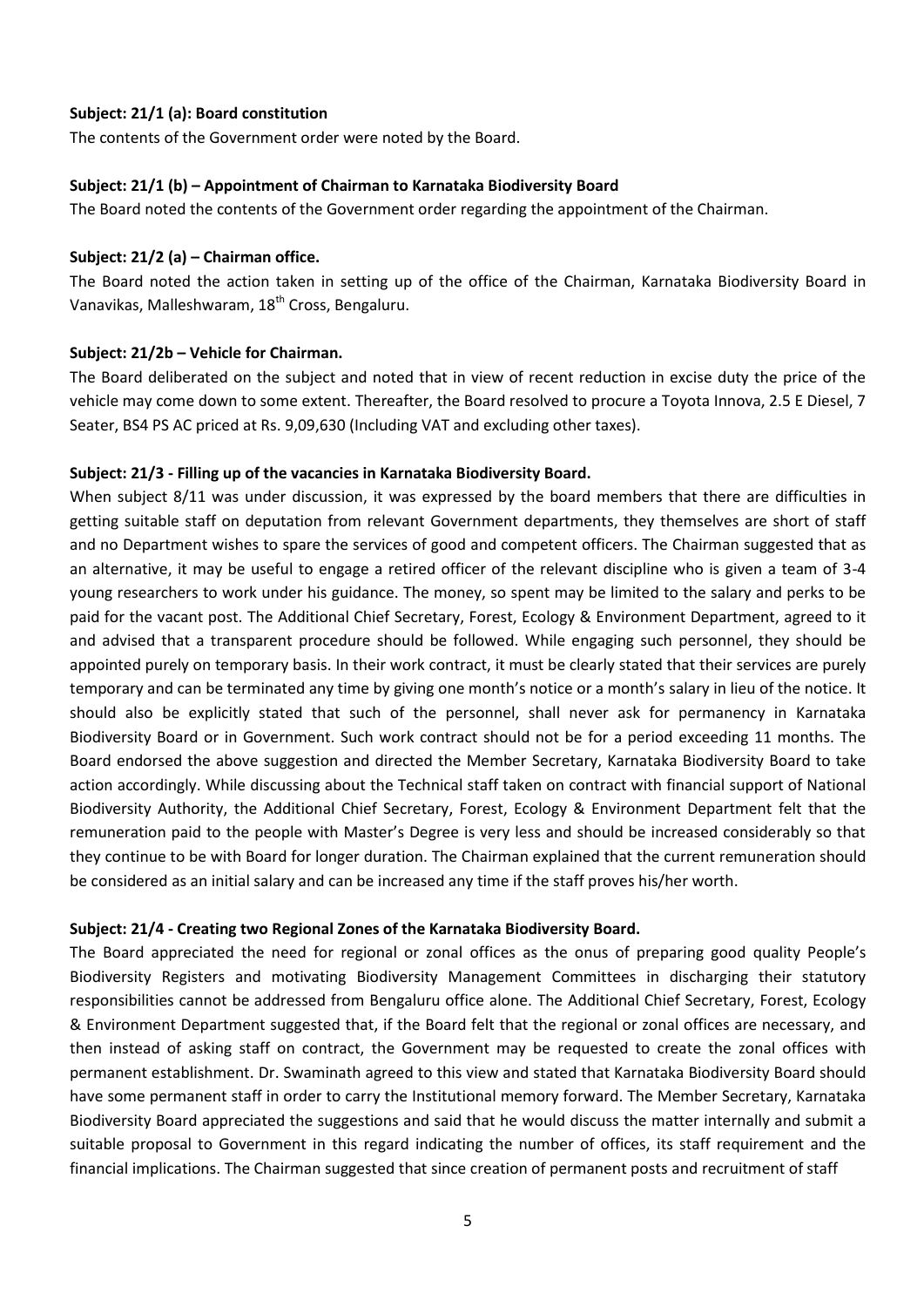#### **Subject: 21/1 (a): Board constitution**

The contents of the Government order were noted by the Board.

#### **Subject: 21/1 (b) – Appointment of Chairman to Karnataka Biodiversity Board**

The Board noted the contents of the Government order regarding the appointment of the Chairman.

#### **Subject: 21/2 (a) – Chairman office.**

The Board noted the action taken in setting up of the office of the Chairman, Karnataka Biodiversity Board in Vanavikas, Malleshwaram, 18<sup>th</sup> Cross, Bengaluru.

#### **Subject: 21/2b – Vehicle for Chairman.**

The Board deliberated on the subject and noted that in view of recent reduction in excise duty the price of the vehicle may come down to some extent. Thereafter, the Board resolved to procure a Toyota Innova, 2.5 E Diesel, 7 Seater, BS4 PS AC priced at Rs. 9,09,630 (Including VAT and excluding other taxes).

#### **Subject: 21/3 - Filling up of the vacancies in Karnataka Biodiversity Board.**

When subject 8/11 was under discussion, it was expressed by the board members that there are difficulties in getting suitable staff on deputation from relevant Government departments, they themselves are short of staff and no Department wishes to spare the services of good and competent officers. The Chairman suggested that as an alternative, it may be useful to engage a retired officer of the relevant discipline who is given a team of 3-4 young researchers to work under his guidance. The money, so spent may be limited to the salary and perks to be paid for the vacant post. The Additional Chief Secretary, Forest, Ecology & Environment Department, agreed to it and advised that a transparent procedure should be followed. While engaging such personnel, they should be appointed purely on temporary basis. In their work contract, it must be clearly stated that their services are purely temporary and can be terminated any time by giving one month's notice or a month's salary in lieu of the notice. It should also be explicitly stated that such of the personnel, shall never ask for permanency in Karnataka Biodiversity Board or in Government. Such work contract should not be for a period exceeding 11 months. The Board endorsed the above suggestion and directed the Member Secretary, Karnataka Biodiversity Board to take action accordingly. While discussing about the Technical staff taken on contract with financial support of National Biodiversity Authority, the Additional Chief Secretary, Forest, Ecology & Environment Department felt that the remuneration paid to the people with Master's Degree is very less and should be increased considerably so that they continue to be with Board for longer duration. The Chairman explained that the current remuneration should be considered as an initial salary and can be increased any time if the staff proves his/her worth.

#### **Subject: 21/4 - Creating two Regional Zones of the Karnataka Biodiversity Board.**

The Board appreciated the need for regional or zonal offices as the onus of preparing good quality People's Biodiversity Registers and motivating Biodiversity Management Committees in discharging their statutory responsibilities cannot be addressed from Bengaluru office alone. The Additional Chief Secretary, Forest, Ecology & Environment Department suggested that, if the Board felt that the regional or zonal offices are necessary, and then instead of asking staff on contract, the Government may be requested to create the zonal offices with permanent establishment. Dr. Swaminath agreed to this view and stated that Karnataka Biodiversity Board should have some permanent staff in order to carry the Institutional memory forward. The Member Secretary, Karnataka Biodiversity Board appreciated the suggestions and said that he would discuss the matter internally and submit a suitable proposal to Government in this regard indicating the number of offices, its staff requirement and the financial implications. The Chairman suggested that since creation of permanent posts and recruitment of staff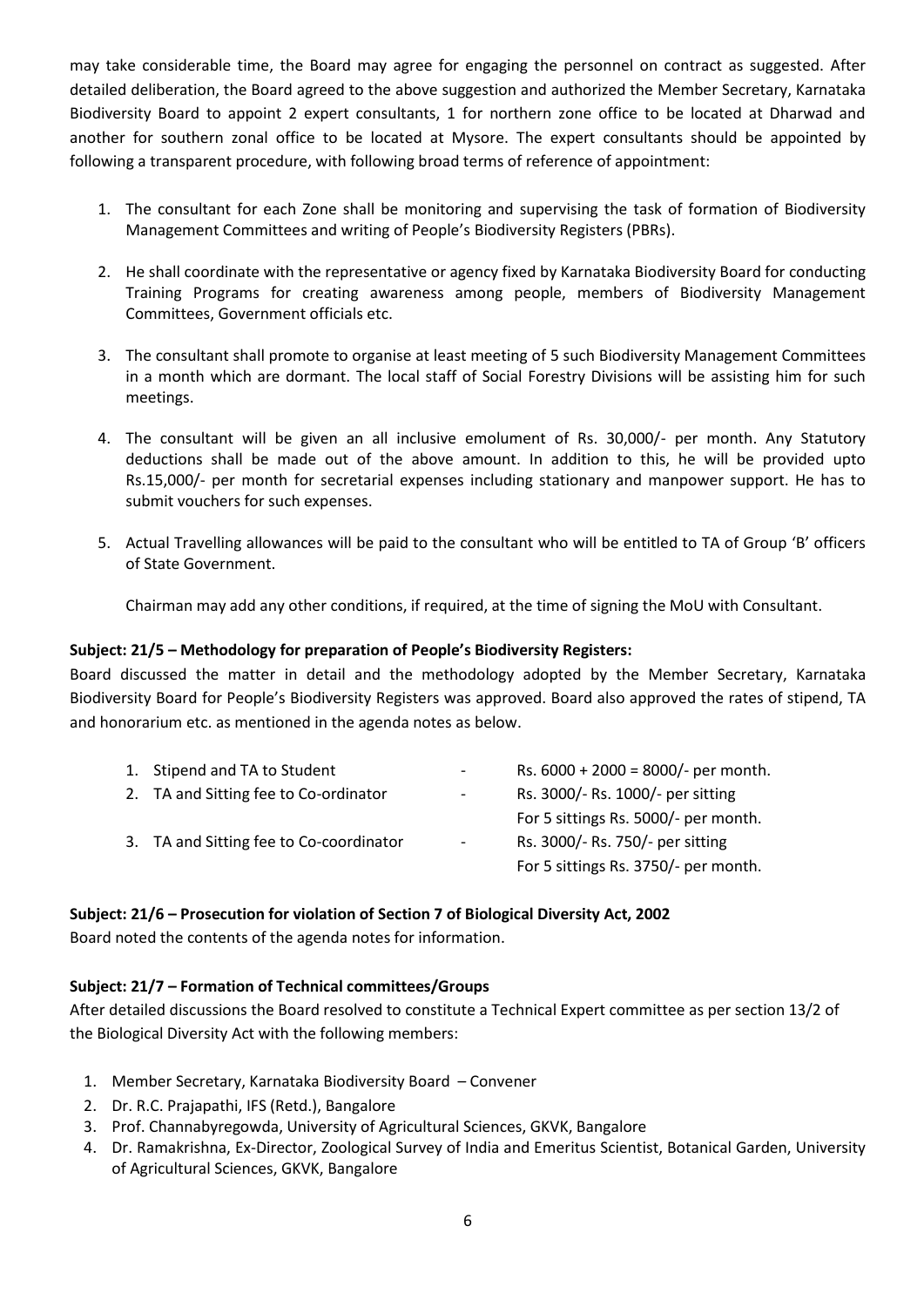may take considerable time, the Board may agree for engaging the personnel on contract as suggested. After detailed deliberation, the Board agreed to the above suggestion and authorized the Member Secretary, Karnataka Biodiversity Board to appoint 2 expert consultants, 1 for northern zone office to be located at Dharwad and another for southern zonal office to be located at Mysore. The expert consultants should be appointed by following a transparent procedure, with following broad terms of reference of appointment:

- 1. The consultant for each Zone shall be monitoring and supervising the task of formation of Biodiversity Management Committees and writing of People's Biodiversity Registers (PBRs).
- 2. He shall coordinate with the representative or agency fixed by Karnataka Biodiversity Board for conducting Training Programs for creating awareness among people, members of Biodiversity Management Committees, Government officials etc.
- 3. The consultant shall promote to organise at least meeting of 5 such Biodiversity Management Committees in a month which are dormant. The local staff of Social Forestry Divisions will be assisting him for such meetings.
- 4. The consultant will be given an all inclusive emolument of Rs. 30,000/- per month. Any Statutory deductions shall be made out of the above amount. In addition to this, he will be provided upto Rs.15,000/- per month for secretarial expenses including stationary and manpower support. He has to submit vouchers for such expenses.
- 5. Actual Travelling allowances will be paid to the consultant who will be entitled to TA of Group 'B' officers of State Government.

Chairman may add any other conditions, if required, at the time of signing the MoU with Consultant.

#### **Subject: 21/5 – Methodology for preparation of People's Biodiversity Registers:**

Board discussed the matter in detail and the methodology adopted by the Member Secretary, Karnataka Biodiversity Board for People's Biodiversity Registers was approved. Board also approved the rates of stipend, TA and honorarium etc. as mentioned in the agenda notes as below.

| 1. Stipend and TA to Student            | $\sim$                   | Rs. $6000 + 2000 = 8000/$ - per month. |
|-----------------------------------------|--------------------------|----------------------------------------|
| 2. TA and Sitting fee to Co-ordinator   | $\overline{\phantom{a}}$ | Rs. 3000/- Rs. 1000/- per sitting      |
|                                         |                          | For 5 sittings Rs. 5000/- per month.   |
| 3. TA and Sitting fee to Co-coordinator | $\sim$                   | Rs. 3000/- Rs. 750/- per sitting       |
|                                         |                          | For 5 sittings Rs. 3750/- per month.   |

#### **Subject: 21/6 – Prosecution for violation of Section 7 of Biological Diversity Act, 2002**

Board noted the contents of the agenda notes for information.

#### **Subject: 21/7 – Formation of Technical committees/Groups**

After detailed discussions the Board resolved to constitute a Technical Expert committee as per section 13/2 of the Biological Diversity Act with the following members:

- 1. Member Secretary, Karnataka Biodiversity Board Convener
- 2. Dr. R.C. Prajapathi, IFS (Retd.), Bangalore
- 3. Prof. Channabyregowda, University of Agricultural Sciences, GKVK, Bangalore
- 4. Dr. Ramakrishna, Ex-Director, Zoological Survey of India and Emeritus Scientist, Botanical Garden, University of Agricultural Sciences, GKVK, Bangalore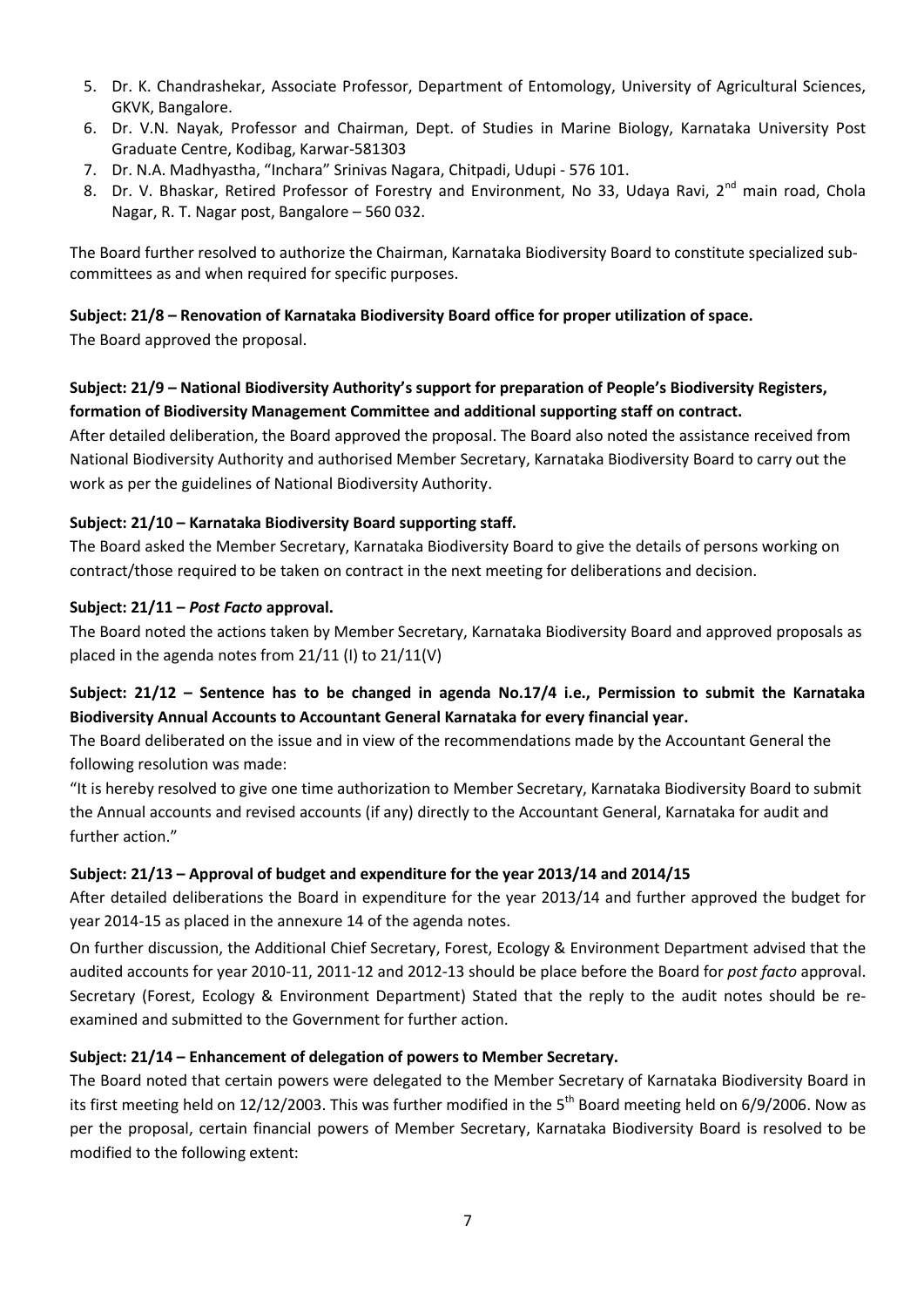- 5. Dr. K. Chandrashekar, Associate Professor, Department of Entomology, University of Agricultural Sciences, GKVK, Bangalore.
- 6. Dr. V.N. Nayak, Professor and Chairman, Dept. of Studies in Marine Biology, Karnataka University Post Graduate Centre, Kodibag, Karwar-581303
- 7. Dr. N.A. Madhyastha, "Inchara" Srinivas Nagara, Chitpadi, Udupi 576 101.
- 8. Dr. V. Bhaskar, Retired Professor of Forestry and Environment, No 33, Udaya Ravi, 2<sup>nd</sup> main road, Chola Nagar, R. T. Nagar post, Bangalore – 560 032.

The Board further resolved to authorize the Chairman, Karnataka Biodiversity Board to constitute specialized subcommittees as and when required for specific purposes.

#### **Subject: 21/8 – Renovation of Karnataka Biodiversity Board office for proper utilization of space.**

The Board approved the proposal.

# **Subject: 21/9 – National Biodiversity Authority's support for preparation of People's Biodiversity Registers, formation of Biodiversity Management Committee and additional supporting staff on contract.**

After detailed deliberation, the Board approved the proposal. The Board also noted the assistance received from National Biodiversity Authority and authorised Member Secretary, Karnataka Biodiversity Board to carry out the work as per the guidelines of National Biodiversity Authority.

#### **Subject: 21/10 – Karnataka Biodiversity Board supporting staff.**

The Board asked the Member Secretary, Karnataka Biodiversity Board to give the details of persons working on contract/those required to be taken on contract in the next meeting for deliberations and decision.

#### **Subject: 21/11 –** *Post Facto* **approval.**

The Board noted the actions taken by Member Secretary, Karnataka Biodiversity Board and approved proposals as placed in the agenda notes from 21/11 (I) to 21/11(V)

# **Subject: 21/12 – Sentence has to be changed in agenda No.17/4 i.e., Permission to submit the Karnataka Biodiversity Annual Accounts to Accountant General Karnataka for every financial year.**

The Board deliberated on the issue and in view of the recommendations made by the Accountant General the following resolution was made:

"It is hereby resolved to give one time authorization to Member Secretary, Karnataka Biodiversity Board to submit the Annual accounts and revised accounts (if any) directly to the Accountant General, Karnataka for audit and further action."

#### **Subject: 21/13 – Approval of budget and expenditure for the year 2013/14 and 2014/15**

After detailed deliberations the Board in expenditure for the year 2013/14 and further approved the budget for year 2014-15 as placed in the annexure 14 of the agenda notes.

On further discussion, the Additional Chief Secretary, Forest, Ecology & Environment Department advised that the audited accounts for year 2010-11, 2011-12 and 2012-13 should be place before the Board for *post facto* approval. Secretary (Forest, Ecology & Environment Department) Stated that the reply to the audit notes should be reexamined and submitted to the Government for further action.

#### **Subject: 21/14 – Enhancement of delegation of powers to Member Secretary.**

The Board noted that certain powers were delegated to the Member Secretary of Karnataka Biodiversity Board in its first meeting held on 12/12/2003. This was further modified in the  $5<sup>th</sup>$  Board meeting held on 6/9/2006. Now as per the proposal, certain financial powers of Member Secretary, Karnataka Biodiversity Board is resolved to be modified to the following extent: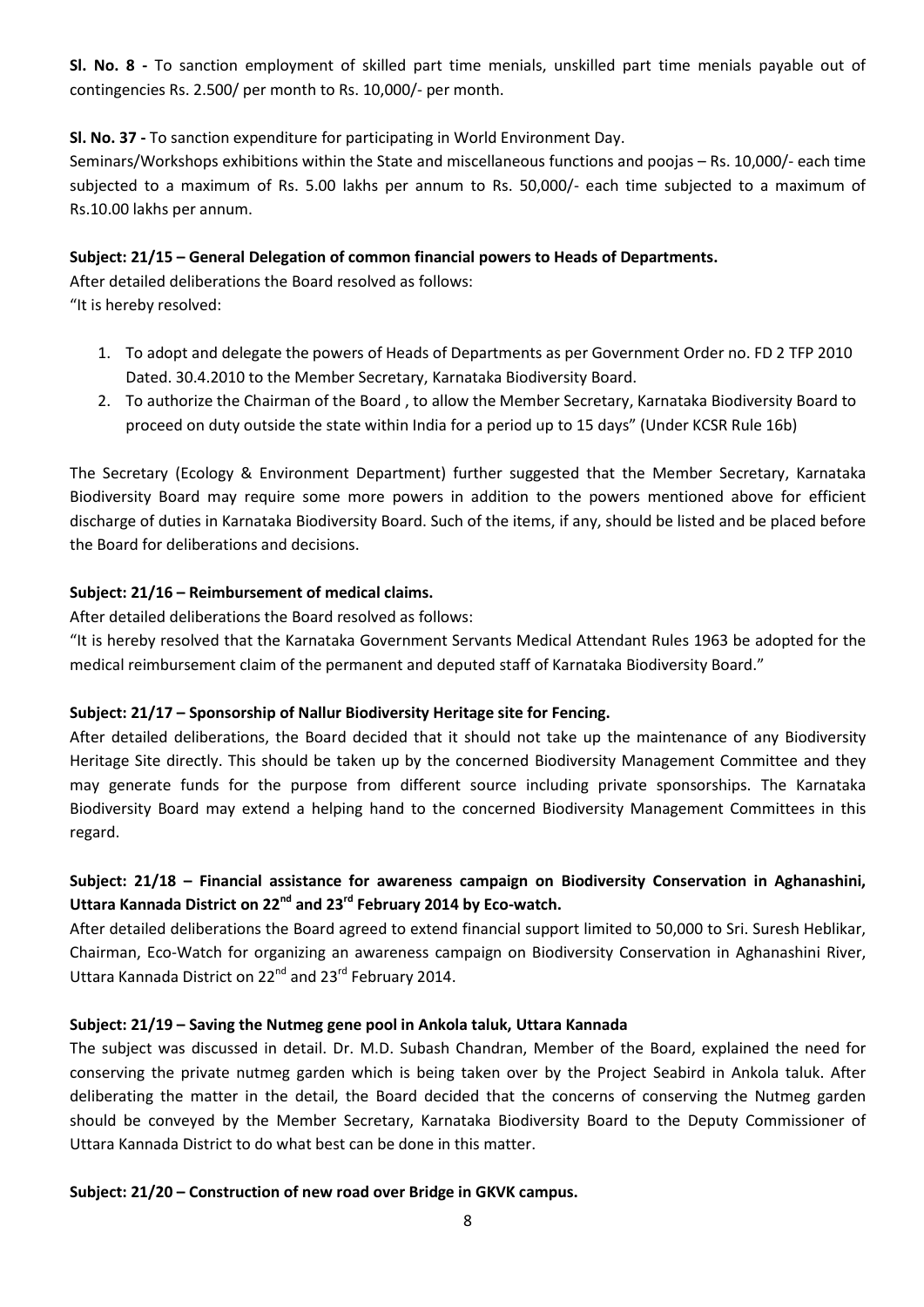**Sl. No. 8 -** To sanction employment of skilled part time menials, unskilled part time menials payable out of contingencies Rs. 2.500/ per month to Rs. 10,000/- per month.

## **Sl. No. 37 -** To sanction expenditure for participating in World Environment Day.

Seminars/Workshops exhibitions within the State and miscellaneous functions and poojas – Rs. 10,000/- each time subjected to a maximum of Rs. 5.00 lakhs per annum to Rs. 50,000/- each time subjected to a maximum of Rs.10.00 lakhs per annum.

### **Subject: 21/15 – General Delegation of common financial powers to Heads of Departments.**

After detailed deliberations the Board resolved as follows: "It is hereby resolved:

- 1. To adopt and delegate the powers of Heads of Departments as per Government Order no. FD 2 TFP 2010 Dated. 30.4.2010 to the Member Secretary, Karnataka Biodiversity Board.
- 2. To authorize the Chairman of the Board , to allow the Member Secretary, Karnataka Biodiversity Board to proceed on duty outside the state within India for a period up to 15 days" (Under KCSR Rule 16b)

The Secretary (Ecology & Environment Department) further suggested that the Member Secretary, Karnataka Biodiversity Board may require some more powers in addition to the powers mentioned above for efficient discharge of duties in Karnataka Biodiversity Board. Such of the items, if any, should be listed and be placed before the Board for deliberations and decisions.

# **Subject: 21/16 – Reimbursement of medical claims.**

After detailed deliberations the Board resolved as follows:

"It is hereby resolved that the Karnataka Government Servants Medical Attendant Rules 1963 be adopted for the medical reimbursement claim of the permanent and deputed staff of Karnataka Biodiversity Board."

# **Subject: 21/17 – Sponsorship of Nallur Biodiversity Heritage site for Fencing.**

After detailed deliberations, the Board decided that it should not take up the maintenance of any Biodiversity Heritage Site directly. This should be taken up by the concerned Biodiversity Management Committee and they may generate funds for the purpose from different source including private sponsorships. The Karnataka Biodiversity Board may extend a helping hand to the concerned Biodiversity Management Committees in this regard.

# **Subject: 21/18 – Financial assistance for awareness campaign on Biodiversity Conservation in Aghanashini, Uttara Kannada District on 22nd and 23rd February 2014 by Eco-watch.**

After detailed deliberations the Board agreed to extend financial support limited to 50,000 to Sri. Suresh Heblikar, Chairman, Eco-Watch for organizing an awareness campaign on Biodiversity Conservation in Aghanashini River, Uttara Kannada District on 22<sup>nd</sup> and 23<sup>rd</sup> February 2014.

#### **Subject: 21/19 – Saving the Nutmeg gene pool in Ankola taluk, Uttara Kannada**

The subject was discussed in detail. Dr. M.D. Subash Chandran, Member of the Board, explained the need for conserving the private nutmeg garden which is being taken over by the Project Seabird in Ankola taluk. After deliberating the matter in the detail, the Board decided that the concerns of conserving the Nutmeg garden should be conveyed by the Member Secretary, Karnataka Biodiversity Board to the Deputy Commissioner of Uttara Kannada District to do what best can be done in this matter.

#### **Subject: 21/20 – Construction of new road over Bridge in GKVK campus.**